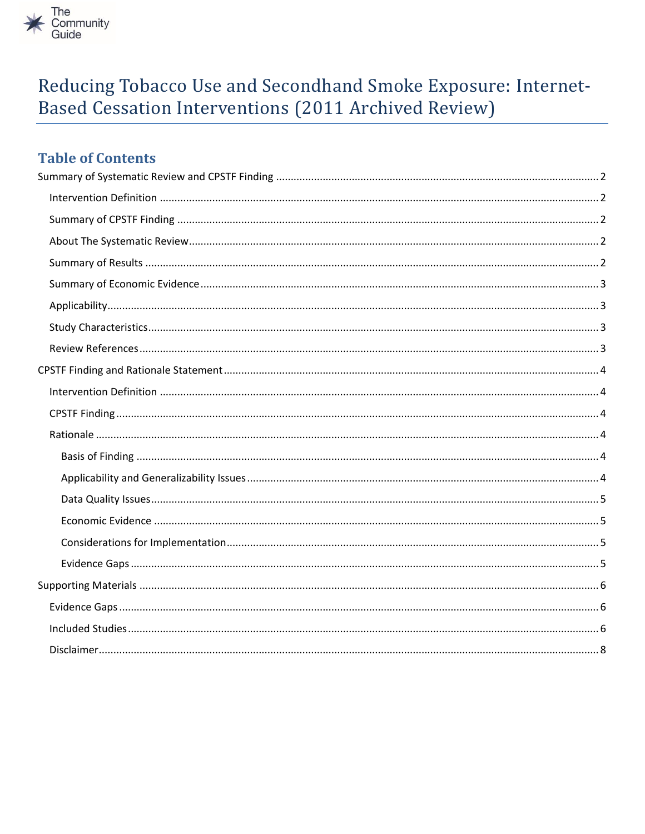

# Reducing Tobacco Use and Secondhand Smoke Exposure: Internet-Based Cessation Interventions (2011 Archived Review)

# **Table of Contents**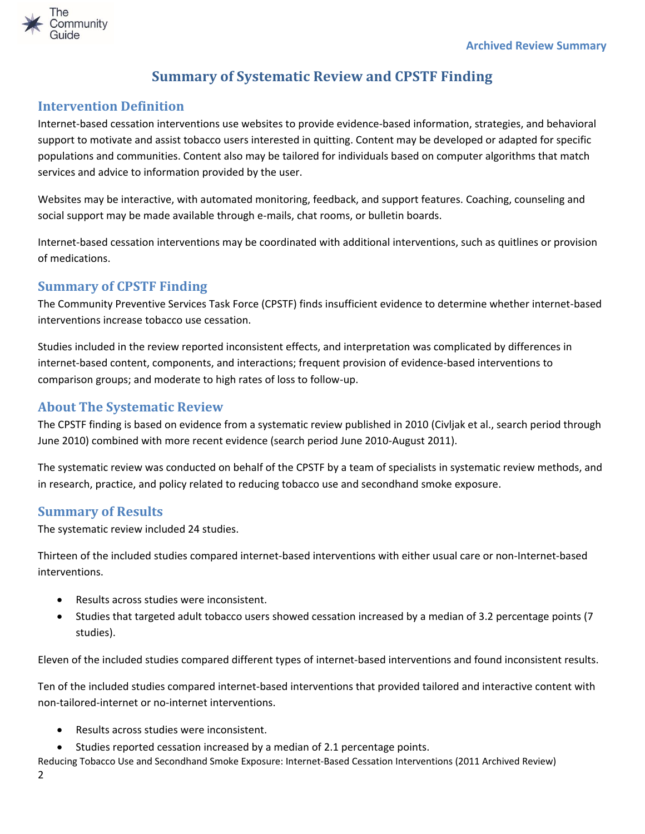

# **Summary of Systematic Review and CPSTF Finding**

### <span id="page-1-1"></span><span id="page-1-0"></span>**Intervention Definition**

Internet-based cessation interventions use websites to provide evidence-based information, strategies, and behavioral support to motivate and assist tobacco users interested in quitting. Content may be developed or adapted for specific populations and communities. Content also may be tailored for individuals based on computer algorithms that match services and advice to information provided by the user.

Websites may be interactive, with automated monitoring, feedback, and support features. Coaching, counseling and social support may be made available through e-mails, chat rooms, or bulletin boards.

Internet-based cessation interventions may be coordinated with additional interventions, such as quitlines or provision of medications.

### <span id="page-1-2"></span>**Summary of CPSTF Finding**

The Community Preventive Services Task Force (CPSTF) finds insufficient evidence to determine whether internet-based interventions increase tobacco use cessation.

Studies included in the review reported inconsistent effects, and interpretation was complicated by differences in internet-based content, components, and interactions; frequent provision of evidence-based interventions to comparison groups; and moderate to high rates of loss to follow-up.

### <span id="page-1-3"></span>**About The Systematic Review**

The CPSTF finding is based on evidence from a systematic review published in 2010 (Civljak et al., search period through June 2010) combined with more recent evidence (search period June 2010-August 2011).

The systematic review was conducted on behalf of the CPSTF by a team of specialists in systematic review methods, and in research, practice, and policy related to reducing tobacco use and secondhand smoke exposure.

#### <span id="page-1-4"></span>**Summary of Results**

The systematic review included 24 studies.

Thirteen of the included studies compared internet-based interventions with either usual care or non-Internet-based interventions.

- Results across studies were inconsistent.
- Studies that targeted adult tobacco users showed cessation increased by a median of 3.2 percentage points (7 studies).

Eleven of the included studies compared different types of internet-based interventions and found inconsistent results.

Ten of the included studies compared internet-based interventions that provided tailored and interactive content with non-tailored-internet or no-internet interventions.

- Results across studies were inconsistent.
- Studies reported cessation increased by a median of 2.1 percentage points.
- Reducing Tobacco Use and Secondhand Smoke Exposure: Internet-Based Cessation Interventions (2011 Archived Review) 2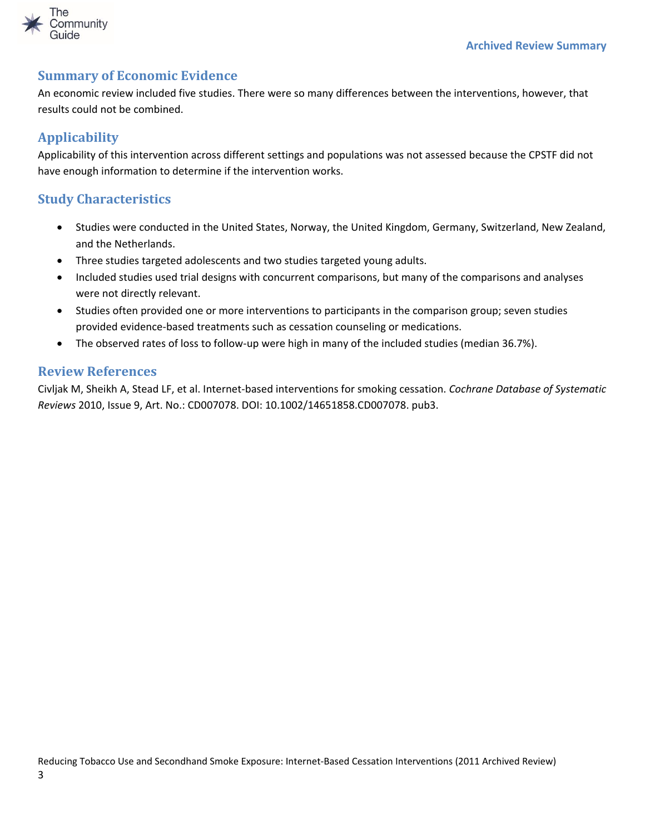

#### <span id="page-2-0"></span>**Summary of Economic Evidence**

An economic review included five studies. There were so many differences between the interventions, however, that results could not be combined.

### <span id="page-2-1"></span>**Applicability**

Applicability of this intervention across different settings and populations was not assessed because the CPSTF did not have enough information to determine if the intervention works.

### <span id="page-2-2"></span>**Study Characteristics**

- Studies were conducted in the United States, Norway, the United Kingdom, Germany, Switzerland, New Zealand, and the Netherlands.
- Three studies targeted adolescents and two studies targeted young adults.
- Included studies used trial designs with concurrent comparisons, but many of the comparisons and analyses were not directly relevant.
- Studies often provided one or more interventions to participants in the comparison group; seven studies provided evidence-based treatments such as cessation counseling or medications.
- The observed rates of loss to follow-up were high in many of the included studies (median 36.7%).

#### <span id="page-2-3"></span>**Review References**

Civljak M, Sheikh A, Stead LF, et al. Internet-based interventions for smoking cessation. *Cochrane Database of Systematic Reviews* 2010, Issue 9, Art. No.: CD007078. DOI: 10.1002/14651858.CD007078. pub3.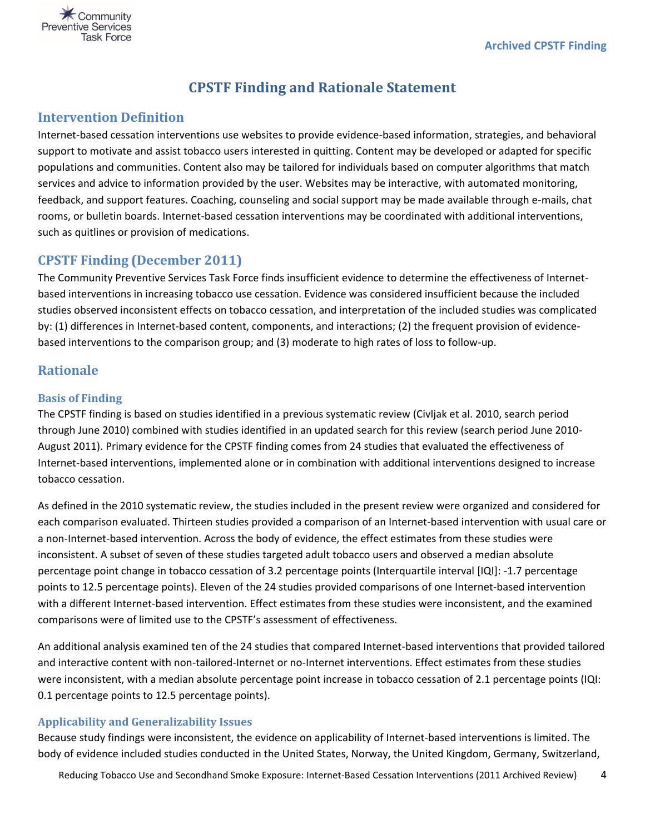<span id="page-3-0"></span>

# **CPSTF Finding and Rationale Statement**

#### <span id="page-3-1"></span>**Intervention Definition**

Internet-based cessation interventions use websites to provide evidence-based information, strategies, and behavioral support to motivate and assist tobacco users interested in quitting. Content may be developed or adapted for specific populations and communities. Content also may be tailored for individuals based on computer algorithms that match services and advice to information provided by the user. Websites may be interactive, with automated monitoring, feedback, and support features. Coaching, counseling and social support may be made available through e-mails, chat rooms, or bulletin boards. Internet-based cessation interventions may be coordinated with additional interventions, such as quitlines or provision of medications.

#### <span id="page-3-2"></span>**CPSTF Finding (December 2011)**

The Community Preventive Services Task Force finds insufficient evidence to determine the effectiveness of Internetbased interventions in increasing tobacco use cessation. Evidence was considered insufficient because the included studies observed inconsistent effects on tobacco cessation, and interpretation of the included studies was complicated by: (1) differences in Internet-based content, components, and interactions; (2) the frequent provision of evidencebased interventions to the comparison group; and (3) moderate to high rates of loss to follow-up.

#### <span id="page-3-3"></span>**Rationale**

#### <span id="page-3-4"></span>**Basis of Finding**

The CPSTF finding is based on studies identified in a previous systematic review (Civljak et al. 2010, search period through June 2010) combined with studies identified in an updated search for this review (search period June 2010- August 2011). Primary evidence for the CPSTF finding comes from 24 studies that evaluated the effectiveness of Internet-based interventions, implemented alone or in combination with additional interventions designed to increase tobacco cessation.

As defined in the 2010 systematic review, the studies included in the present review were organized and considered for each comparison evaluated. Thirteen studies provided a comparison of an Internet-based intervention with usual care or a non-Internet-based intervention. Across the body of evidence, the effect estimates from these studies were inconsistent. A subset of seven of these studies targeted adult tobacco users and observed a median absolute percentage point change in tobacco cessation of 3.2 percentage points (Interquartile interval [IQI]: -1.7 percentage points to 12.5 percentage points). Eleven of the 24 studies provided comparisons of one Internet-based intervention with a different Internet-based intervention. Effect estimates from these studies were inconsistent, and the examined comparisons were of limited use to the CPSTF's assessment of effectiveness.

An additional analysis examined ten of the 24 studies that compared Internet-based interventions that provided tailored and interactive content with non-tailored-Internet or no-Internet interventions. Effect estimates from these studies were inconsistent, with a median absolute percentage point increase in tobacco cessation of 2.1 percentage points (IQI: 0.1 percentage points to 12.5 percentage points).

#### <span id="page-3-5"></span>**Applicability and Generalizability Issues**

Because study findings were inconsistent, the evidence on applicability of Internet-based interventions is limited. The body of evidence included studies conducted in the United States, Norway, the United Kingdom, Germany, Switzerland,

Reducing Tobacco Use and Secondhand Smoke Exposure: Internet-Based Cessation Interventions (2011 Archived Review) 4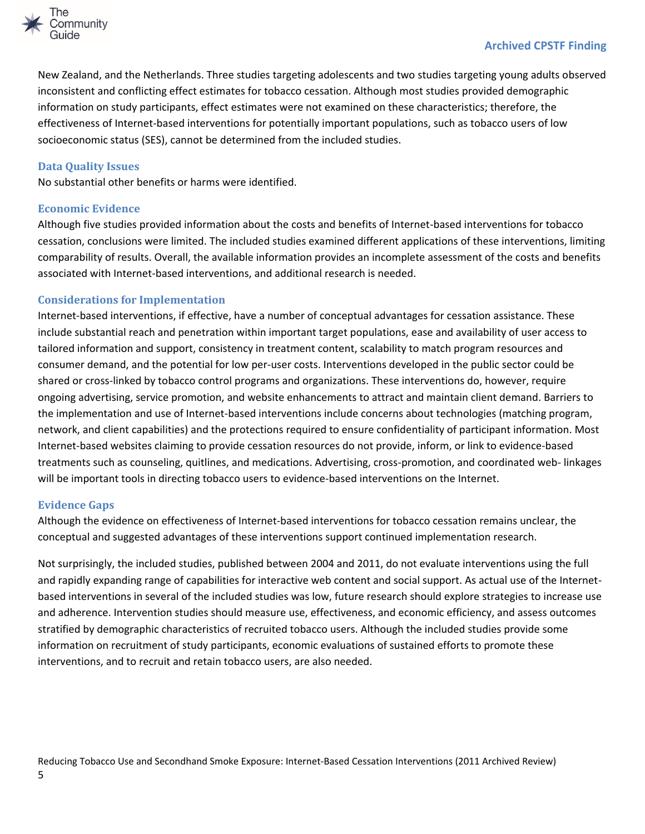

#### **Archived CPSTF Finding**

New Zealand, and the Netherlands. Three studies targeting adolescents and two studies targeting young adults observed inconsistent and conflicting effect estimates for tobacco cessation. Although most studies provided demographic information on study participants, effect estimates were not examined on these characteristics; therefore, the effectiveness of Internet-based interventions for potentially important populations, such as tobacco users of low socioeconomic status (SES), cannot be determined from the included studies.

#### <span id="page-4-0"></span>**Data Quality Issues**

No substantial other benefits or harms were identified.

#### <span id="page-4-1"></span>**Economic Evidence**

Although five studies provided information about the costs and benefits of Internet-based interventions for tobacco cessation, conclusions were limited. The included studies examined different applications of these interventions, limiting comparability of results. Overall, the available information provides an incomplete assessment of the costs and benefits associated with Internet-based interventions, and additional research is needed.

#### <span id="page-4-2"></span>**Considerations for Implementation**

Internet-based interventions, if effective, have a number of conceptual advantages for cessation assistance. These include substantial reach and penetration within important target populations, ease and availability of user access to tailored information and support, consistency in treatment content, scalability to match program resources and consumer demand, and the potential for low per-user costs. Interventions developed in the public sector could be shared or cross-linked by tobacco control programs and organizations. These interventions do, however, require ongoing advertising, service promotion, and website enhancements to attract and maintain client demand. Barriers to the implementation and use of Internet-based interventions include concerns about technologies (matching program, network, and client capabilities) and the protections required to ensure confidentiality of participant information. Most Internet-based websites claiming to provide cessation resources do not provide, inform, or link to evidence-based treatments such as counseling, quitlines, and medications. Advertising, cross-promotion, and coordinated web- linkages will be important tools in directing tobacco users to evidence-based interventions on the Internet.

#### <span id="page-4-3"></span>**Evidence Gaps**

Although the evidence on effectiveness of Internet-based interventions for tobacco cessation remains unclear, the conceptual and suggested advantages of these interventions support continued implementation research.

Not surprisingly, the included studies, published between 2004 and 2011, do not evaluate interventions using the full and rapidly expanding range of capabilities for interactive web content and social support. As actual use of the Internetbased interventions in several of the included studies was low, future research should explore strategies to increase use and adherence. Intervention studies should measure use, effectiveness, and economic efficiency, and assess outcomes stratified by demographic characteristics of recruited tobacco users. Although the included studies provide some information on recruitment of study participants, economic evaluations of sustained efforts to promote these interventions, and to recruit and retain tobacco users, are also needed.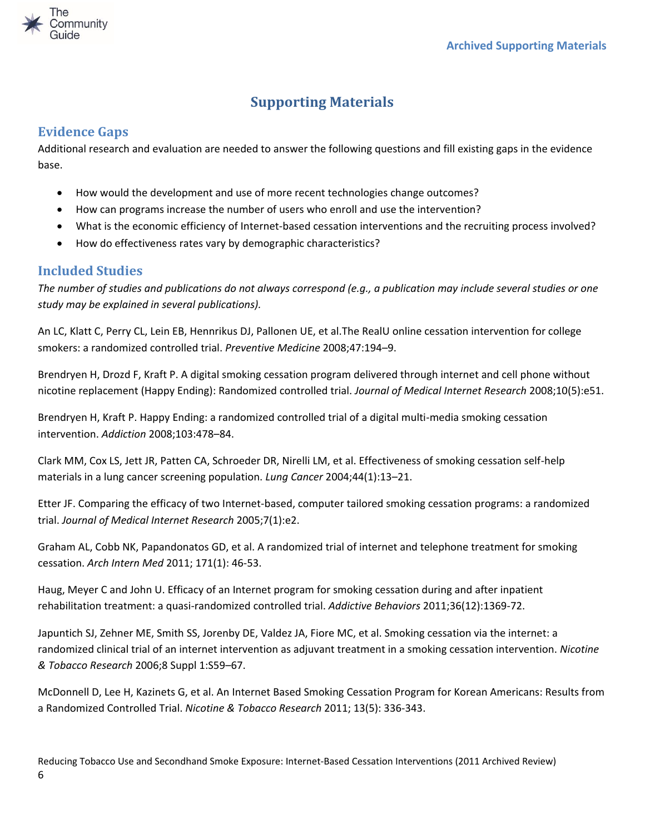

# **Supporting Materials**

## <span id="page-5-1"></span><span id="page-5-0"></span>**Evidence Gaps**

Additional research and evaluation are needed to answer the following questions and fill existing gaps in the evidence base.

- How would the development and use of more recent technologies change outcomes?
- How can programs increase the number of users who enroll and use the intervention?
- What is the economic efficiency of Internet-based cessation interventions and the recruiting process involved?
- How do effectiveness rates vary by demographic characteristics?

# <span id="page-5-2"></span>**Included Studies**

*The number of studies and publications do not always correspond (e.g., a publication may include several studies or one study may be explained in several publications).*

An LC, Klatt C, Perry CL, Lein EB, Hennrikus DJ, Pallonen UE, et al.The RealU online cessation intervention for college smokers: a randomized controlled trial. *Preventive Medicine* 2008;47:194–9.

Brendryen H, Drozd F, Kraft P. A digital smoking cessation program delivered through internet and cell phone without nicotine replacement (Happy Ending): Randomized controlled trial. *Journal of Medical Internet Research* 2008;10(5):e51.

Brendryen H, Kraft P. Happy Ending: a randomized controlled trial of a digital multi-media smoking cessation intervention. *Addiction* 2008;103:478–84.

Clark MM, Cox LS, Jett JR, Patten CA, Schroeder DR, Nirelli LM, et al. Effectiveness of smoking cessation self-help materials in a lung cancer screening population. *Lung Cancer* 2004;44(1):13–21.

Etter JF. Comparing the efficacy of two Internet-based, computer tailored smoking cessation programs: a randomized trial. *Journal of Medical Internet Research* 2005;7(1):e2.

Graham AL, Cobb NK, Papandonatos GD, et al. A randomized trial of internet and telephone treatment for smoking cessation. *Arch Intern Med* 2011; 171(1): 46-53.

Haug, Meyer C and John U. Efficacy of an Internet program for smoking cessation during and after inpatient rehabilitation treatment: a quasi-randomized controlled trial. *Addictive Behaviors* 2011;36(12):1369-72.

Japuntich SJ, Zehner ME, Smith SS, Jorenby DE, Valdez JA, Fiore MC, et al. Smoking cessation via the internet: a randomized clinical trial of an internet intervention as adjuvant treatment in a smoking cessation intervention. *Nicotine & Tobacco Research* 2006;8 Suppl 1:S59–67.

McDonnell D, Lee H, Kazinets G, et al. An Internet Based Smoking Cessation Program for Korean Americans: Results from a Randomized Controlled Trial. *Nicotine & Tobacco Research* 2011; 13(5): 336-343.

Reducing Tobacco Use and Secondhand Smoke Exposure: Internet-Based Cessation Interventions (2011 Archived Review) 6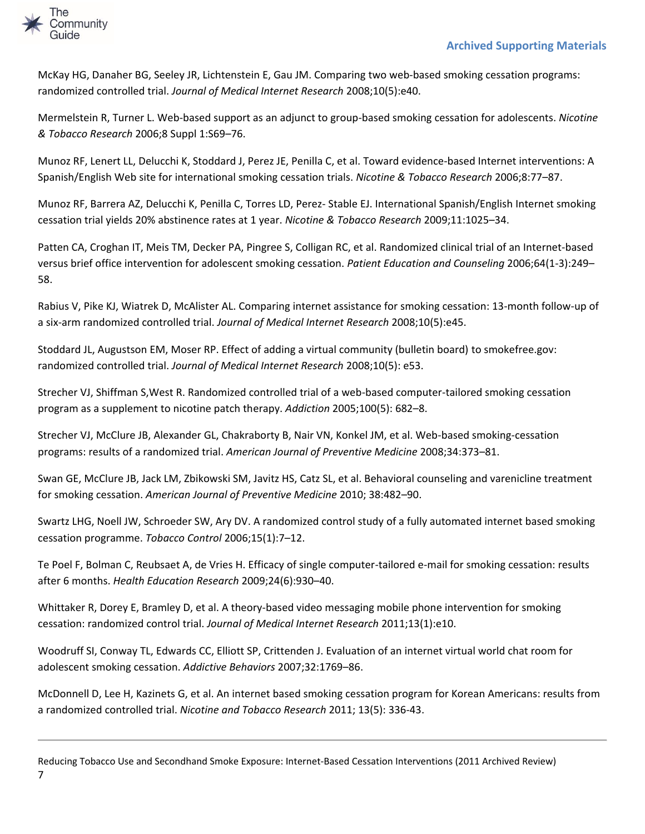

McKay HG, Danaher BG, Seeley JR, Lichtenstein E, Gau JM. Comparing two web-based smoking cessation programs: randomized controlled trial. *Journal of Medical Internet Research* 2008;10(5):e40.

Mermelstein R, Turner L. Web-based support as an adjunct to group-based smoking cessation for adolescents. *Nicotine & Tobacco Research* 2006;8 Suppl 1:S69–76.

Munoz RF, Lenert LL, Delucchi K, Stoddard J, Perez JE, Penilla C, et al. Toward evidence-based Internet interventions: A Spanish/English Web site for international smoking cessation trials. *Nicotine & Tobacco Research* 2006;8:77–87.

Munoz RF, Barrera AZ, Delucchi K, Penilla C, Torres LD, Perez- Stable EJ. International Spanish/English Internet smoking cessation trial yields 20% abstinence rates at 1 year. *Nicotine & Tobacco Research* 2009;11:1025–34.

Patten CA, Croghan IT, Meis TM, Decker PA, Pingree S, Colligan RC, et al. Randomized clinical trial of an Internet-based versus brief office intervention for adolescent smoking cessation. *Patient Education and Counseling* 2006;64(1-3):249– 58.

Rabius V, Pike KJ, Wiatrek D, McAlister AL. Comparing internet assistance for smoking cessation: 13-month follow-up of a six-arm randomized controlled trial. *Journal of Medical Internet Research* 2008;10(5):e45.

Stoddard JL, Augustson EM, Moser RP. Effect of adding a virtual community (bulletin board) to smokefree.gov: randomized controlled trial. *Journal of Medical Internet Research* 2008;10(5): e53.

Strecher VJ, Shiffman S,West R. Randomized controlled trial of a web-based computer-tailored smoking cessation program as a supplement to nicotine patch therapy. *Addiction* 2005;100(5): 682–8.

Strecher VJ, McClure JB, Alexander GL, Chakraborty B, Nair VN, Konkel JM, et al. Web-based smoking-cessation programs: results of a randomized trial. *American Journal of Preventive Medicine* 2008;34:373–81.

Swan GE, McClure JB, Jack LM, Zbikowski SM, Javitz HS, Catz SL, et al. Behavioral counseling and varenicline treatment for smoking cessation. *American Journal of Preventive Medicine* 2010; 38:482–90.

Swartz LHG, Noell JW, Schroeder SW, Ary DV. A randomized control study of a fully automated internet based smoking cessation programme. *Tobacco Control* 2006;15(1):7–12.

Te Poel F, Bolman C, Reubsaet A, de Vries H. Efficacy of single computer-tailored e-mail for smoking cessation: results after 6 months. *Health Education Research* 2009;24(6):930–40.

Whittaker R, Dorey E, Bramley D, et al. A theory-based video messaging mobile phone intervention for smoking cessation: randomized control trial. *Journal of Medical Internet Research* 2011;13(1):e10.

Woodruff SI, Conway TL, Edwards CC, Elliott SP, Crittenden J. Evaluation of an internet virtual world chat room for adolescent smoking cessation. *Addictive Behaviors* 2007;32:1769–86.

McDonnell D, Lee H, Kazinets G, et al. An internet based smoking cessation program for Korean Americans: results from a randomized controlled trial. *Nicotine and Tobacco Research* 2011; 13(5): 336-43.

Reducing Tobacco Use and Secondhand Smoke Exposure: Internet-Based Cessation Interventions (2011 Archived Review) 7